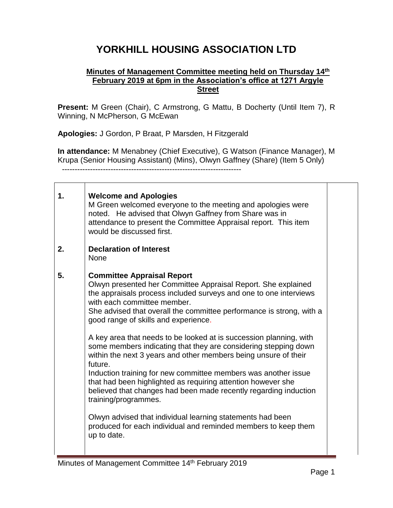## **YORKHILL HOUSING ASSOCIATION LTD**

## **Minutes of Management Committee meeting held on Thursday 14th February 2019 at 6pm in the Association's office at 1271 Argyle Street**

**Present:** M Green (Chair), C Armstrong, G Mattu, B Docherty (Until Item 7), R Winning, N McPherson, G McEwan

**Apologies:** J Gordon, P Braat, P Marsden, H Fitzgerald

**In attendance:** M Menabney (Chief Executive), G Watson (Finance Manager), M Krupa (Senior Housing Assistant) (Mins), Olwyn Gaffney (Share) (Item 5 Only) ----------------------------------------------------------------------

| 1. | <b>Welcome and Apologies</b><br>M Green welcomed everyone to the meeting and apologies were<br>noted. He advised that Olwyn Gaffney from Share was in<br>attendance to present the Committee Appraisal report. This item<br>would be discussed first.                                                                                                                                                                                                                                                                                                                                                                                                                                                                                                                                                                                                                                                                      |  |
|----|----------------------------------------------------------------------------------------------------------------------------------------------------------------------------------------------------------------------------------------------------------------------------------------------------------------------------------------------------------------------------------------------------------------------------------------------------------------------------------------------------------------------------------------------------------------------------------------------------------------------------------------------------------------------------------------------------------------------------------------------------------------------------------------------------------------------------------------------------------------------------------------------------------------------------|--|
| 2. | <b>Declaration of Interest</b><br><b>None</b>                                                                                                                                                                                                                                                                                                                                                                                                                                                                                                                                                                                                                                                                                                                                                                                                                                                                              |  |
| 5. | <b>Committee Appraisal Report</b><br>Olwyn presented her Committee Appraisal Report. She explained<br>the appraisals process included surveys and one to one interviews<br>with each committee member.<br>She advised that overall the committee performance is strong, with a<br>good range of skills and experience.<br>A key area that needs to be looked at is succession planning, with<br>some members indicating that they are considering stepping down<br>within the next 3 years and other members being unsure of their<br>future.<br>Induction training for new committee members was another issue<br>that had been highlighted as requiring attention however she<br>believed that changes had been made recently regarding induction<br>training/programmes.<br>Olwyn advised that individual learning statements had been<br>produced for each individual and reminded members to keep them<br>up to date. |  |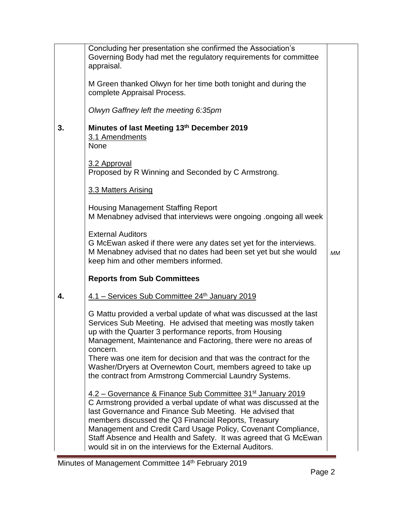|    | Concluding her presentation she confirmed the Association's                                                                                                                                                                                                                                                                                                                                                                                                       |           |
|----|-------------------------------------------------------------------------------------------------------------------------------------------------------------------------------------------------------------------------------------------------------------------------------------------------------------------------------------------------------------------------------------------------------------------------------------------------------------------|-----------|
|    | Governing Body had met the regulatory requirements for committee<br>appraisal.                                                                                                                                                                                                                                                                                                                                                                                    |           |
|    | M Green thanked Olwyn for her time both tonight and during the<br>complete Appraisal Process.                                                                                                                                                                                                                                                                                                                                                                     |           |
|    | Olwyn Gaffney left the meeting 6:35pm                                                                                                                                                                                                                                                                                                                                                                                                                             |           |
| 3. | Minutes of last Meeting 13th December 2019<br>3.1 Amendments<br><b>None</b>                                                                                                                                                                                                                                                                                                                                                                                       |           |
|    | 3.2 Approval<br>Proposed by R Winning and Seconded by C Armstrong.                                                                                                                                                                                                                                                                                                                                                                                                |           |
|    | 3.3 Matters Arising                                                                                                                                                                                                                                                                                                                                                                                                                                               |           |
|    | <b>Housing Management Staffing Report</b><br>M Menabney advised that interviews were ongoing .ongoing all week                                                                                                                                                                                                                                                                                                                                                    |           |
|    | <b>External Auditors</b><br>G McEwan asked if there were any dates set yet for the interviews.<br>M Menabney advised that no dates had been set yet but she would<br>keep him and other members informed.                                                                                                                                                                                                                                                         | <b>MM</b> |
|    | <b>Reports from Sub Committees</b>                                                                                                                                                                                                                                                                                                                                                                                                                                |           |
| 4. | 4.1 - Services Sub Committee 24th January 2019                                                                                                                                                                                                                                                                                                                                                                                                                    |           |
|    | G Mattu provided a verbal update of what was discussed at the last<br>Services Sub Meeting. He advised that meeting was mostly taken<br>up with the Quarter 3 performance reports, from Housing<br>Management, Maintenance and Factoring, there were no areas of<br>concern.                                                                                                                                                                                      |           |
|    | There was one item for decision and that was the contract for the<br>Washer/Dryers at Overnewton Court, members agreed to take up<br>the contract from Armstrong Commercial Laundry Systems.                                                                                                                                                                                                                                                                      |           |
|    | 4.2 – Governance & Finance Sub Committee 31 <sup>st</sup> January 2019<br>C Armstrong provided a verbal update of what was discussed at the<br>last Governance and Finance Sub Meeting. He advised that<br>members discussed the Q3 Financial Reports, Treasury<br>Management and Credit Card Usage Policy, Covenant Compliance,<br>Staff Absence and Health and Safety. It was agreed that G McEwan<br>would sit in on the interviews for the External Auditors. |           |

E,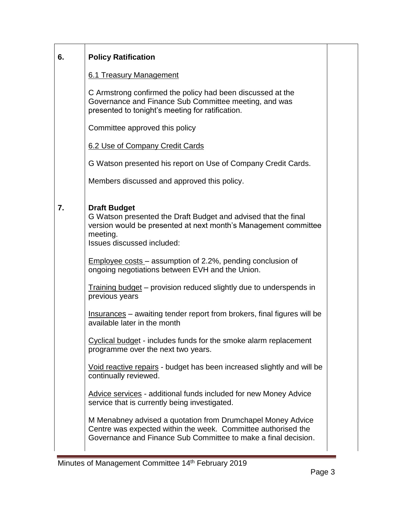| 6. | <b>Policy Ratification</b>                                                                                                                                                                         |  |
|----|----------------------------------------------------------------------------------------------------------------------------------------------------------------------------------------------------|--|
|    | 6.1 Treasury Management                                                                                                                                                                            |  |
|    | C Armstrong confirmed the policy had been discussed at the<br>Governance and Finance Sub Committee meeting, and was<br>presented to tonight's meeting for ratification.                            |  |
|    | Committee approved this policy                                                                                                                                                                     |  |
|    | 6.2 Use of Company Credit Cards                                                                                                                                                                    |  |
|    | G Watson presented his report on Use of Company Credit Cards.                                                                                                                                      |  |
|    | Members discussed and approved this policy.                                                                                                                                                        |  |
| 7. | <b>Draft Budget</b><br>G Watson presented the Draft Budget and advised that the final<br>version would be presented at next month's Management committee<br>meeting.<br>Issues discussed included: |  |
|    | Employee costs – assumption of 2.2%, pending conclusion of<br>ongoing negotiations between EVH and the Union.                                                                                      |  |
|    | Training budget – provision reduced slightly due to underspends in<br>previous years                                                                                                               |  |
|    | <u>Insurances</u> – awaiting tender report from brokers, final figures will be<br>available later in the month                                                                                     |  |
|    | Cyclical budget - includes funds for the smoke alarm replacement<br>programme over the next two years.                                                                                             |  |
|    | Void reactive repairs - budget has been increased slightly and will be<br>continually reviewed.                                                                                                    |  |
|    | Advice services - additional funds included for new Money Advice<br>service that is currently being investigated.                                                                                  |  |
|    | M Menabney advised a quotation from Drumchapel Money Advice<br>Centre was expected within the week. Committee authorised the<br>Governance and Finance Sub Committee to make a final decision.     |  |

÷.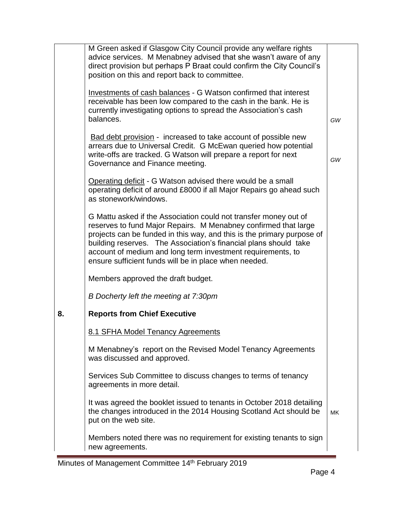|    | M Green asked if Glasgow City Council provide any welfare rights<br>advice services. M Menabney advised that she wasn't aware of any<br>direct provision but perhaps P Braat could confirm the City Council's<br>position on this and report back to committee.                                                                                                                                           |           |
|----|-----------------------------------------------------------------------------------------------------------------------------------------------------------------------------------------------------------------------------------------------------------------------------------------------------------------------------------------------------------------------------------------------------------|-----------|
|    | <b>Investments of cash balances - G Watson confirmed that interest</b><br>receivable has been low compared to the cash in the bank. He is<br>currently investigating options to spread the Association's cash<br>balances.                                                                                                                                                                                | GW        |
|    | Bad debt provision - increased to take account of possible new<br>arrears due to Universal Credit. G McEwan queried how potential<br>write-offs are tracked. G Watson will prepare a report for next<br>Governance and Finance meeting.                                                                                                                                                                   | GW        |
|    | Operating deficit - G Watson advised there would be a small<br>operating deficit of around £8000 if all Major Repairs go ahead such<br>as stonework/windows.                                                                                                                                                                                                                                              |           |
|    | G Mattu asked if the Association could not transfer money out of<br>reserves to fund Major Repairs. M Menabney confirmed that large<br>projects can be funded in this way, and this is the primary purpose of<br>building reserves. The Association's financial plans should take<br>account of medium and long term investment requirements, to<br>ensure sufficient funds will be in place when needed. |           |
|    | Members approved the draft budget.                                                                                                                                                                                                                                                                                                                                                                        |           |
|    | B Docherty left the meeting at 7:30pm                                                                                                                                                                                                                                                                                                                                                                     |           |
| 8. | <b>Reports from Chief Executive</b>                                                                                                                                                                                                                                                                                                                                                                       |           |
|    | 8.1 SFHA Model Tenancy Agreements                                                                                                                                                                                                                                                                                                                                                                         |           |
|    | M Menabney's report on the Revised Model Tenancy Agreements<br>was discussed and approved.                                                                                                                                                                                                                                                                                                                |           |
|    | Services Sub Committee to discuss changes to terms of tenancy<br>agreements in more detail.                                                                                                                                                                                                                                                                                                               |           |
|    | It was agreed the booklet issued to tenants in October 2018 detailing<br>the changes introduced in the 2014 Housing Scotland Act should be<br>put on the web site.                                                                                                                                                                                                                                        | <b>MK</b> |
|    | Members noted there was no requirement for existing tenants to sign<br>new agreements.                                                                                                                                                                                                                                                                                                                    |           |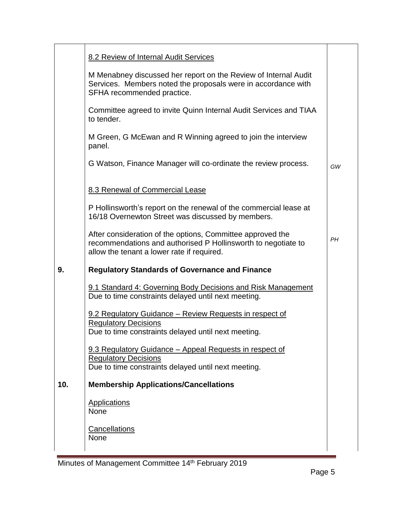|     | 8.2 Review of Internal Audit Services                                                                                                                                     |    |
|-----|---------------------------------------------------------------------------------------------------------------------------------------------------------------------------|----|
|     | M Menabney discussed her report on the Review of Internal Audit<br>Services. Members noted the proposals were in accordance with<br>SFHA recommended practice.            |    |
|     | Committee agreed to invite Quinn Internal Audit Services and TIAA<br>to tender.                                                                                           |    |
|     | M Green, G McEwan and R Winning agreed to join the interview<br>panel.                                                                                                    |    |
|     | G Watson, Finance Manager will co-ordinate the review process.                                                                                                            | GW |
|     | 8.3 Renewal of Commercial Lease                                                                                                                                           |    |
|     | P Hollinsworth's report on the renewal of the commercial lease at<br>16/18 Overnewton Street was discussed by members.                                                    |    |
|     | After consideration of the options, Committee approved the<br>recommendations and authorised P Hollinsworth to negotiate to<br>allow the tenant a lower rate if required. | PН |
| 9.  | <b>Regulatory Standards of Governance and Finance</b>                                                                                                                     |    |
|     | 9.1 Standard 4: Governing Body Decisions and Risk Management<br>Due to time constraints delayed until next meeting.                                                       |    |
|     | 9.2 Regulatory Guidance – Review Requests in respect of<br><b>Regulatory Decisions</b>                                                                                    |    |
|     | Due to time constraints delayed until next meeting.                                                                                                                       |    |
|     | 9.3 Regulatory Guidance - Appeal Requests in respect of<br><b>Regulatory Decisions</b>                                                                                    |    |
|     | Due to time constraints delayed until next meeting.                                                                                                                       |    |
| 10. | <b>Membership Applications/Cancellations</b>                                                                                                                              |    |
|     | <b>Applications</b><br><b>None</b>                                                                                                                                        |    |
|     | Cancellations<br><b>None</b>                                                                                                                                              |    |

Minutes of Management Committee 14<sup>th</sup> February 2019